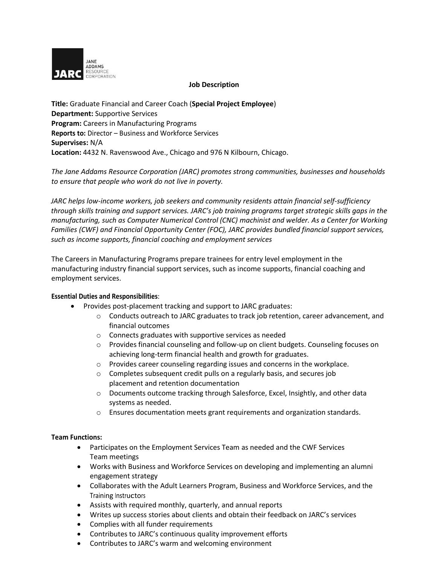

### **Job Description**

**Title:** Graduate Financial and Career Coach (**Special Project Employee**) **Department:** Supportive Services **Program:** Careers in Manufacturing Programs **Reports to:** Director – Business and Workforce Services **Supervises:** N/A **Location:** 4432 N. Ravenswood Ave., Chicago and 976 N Kilbourn, Chicago.

*The Jane Addams Resource Corporation (JARC) promotes strong communities, businesses and households to ensure that people who work do not live in poverty.* 

*JARC helps low-income workers, job seekers and community residents attain financial self-sufficiency through skills training and support services. JARC's job training programs target strategic skills gaps in the manufacturing, such as Computer Numerical Control (CNC) machinist and welder. As a Center for Working Families (CWF) and Financial Opportunity Center (FOC), JARC provides bundled financial support services, such as income supports, financial coaching and employment services*

The Careers in Manufacturing Programs prepare trainees for entry level employment in the manufacturing industry financial support services, such as income supports, financial coaching and employment services.

# **Essential Duties and Responsibilities**:

- Provides post-placement tracking and support to JARC graduates:
	- $\circ$  Conducts outreach to JARC graduates to track job retention, career advancement, and financial outcomes
	- o Connects graduates with supportive services as needed
	- o Provides financial counseling and follow-up on client budgets. Counseling focuses on achieving long-term financial health and growth for graduates.
	- o Provides career counseling regarding issues and concerns in the workplace.
	- o Completes subsequent credit pulls on a regularly basis, and secures job placement and retention documentation
	- $\circ$  Documents outcome tracking through Salesforce, Excel, Insightly, and other data systems as needed.
	- o Ensures documentation meets grant requirements and organization standards.

# **Team Functions:**

- Participates on the Employment Services Team as needed and the CWF Services Team meetings
- Works with Business and Workforce Services on developing and implementing an alumni engagement strategy
- Collaborates with the Adult Learners Program, Business and Workforce Services, and the Training Instructors
- Assists with required monthly, quarterly, and annual reports
- Writes up success stories about clients and obtain their feedback on JARC's services
- Complies with all funder requirements
- Contributes to JARC's continuous quality improvement efforts
- Contributes to JARC's warm and welcoming environment